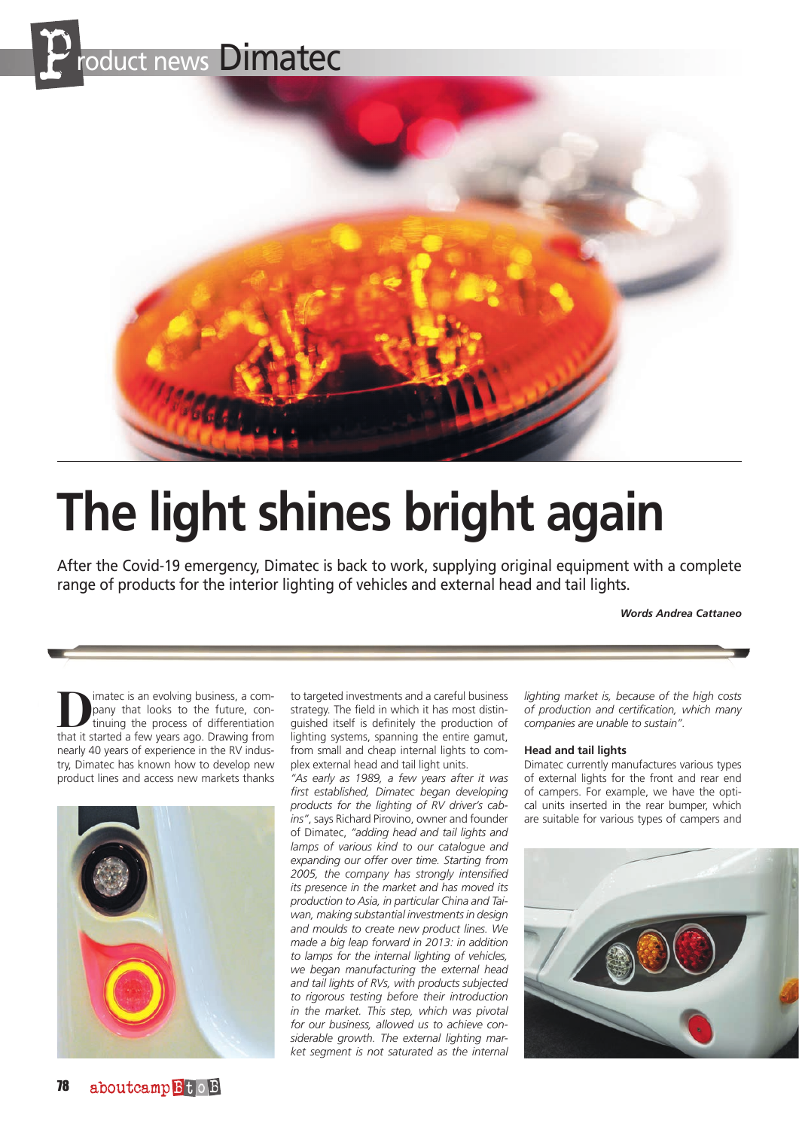



# **The light shines bright again**

After the Covid-19 emergency, Dimatec is back to work, supplying original equipment with a complete range of products for the interior lighting of vehicles and external head and tail lights.

### *Words Andrea Cattaneo*

**D**imatec is an evolving business, a company that looks to the future, continuing the process of differentiation pany that looks to the future, continuing the process of differentiation that it started a few years ago. Drawing from nearly 40 years of experience in the RV industry, Dimatec has known how to develop new product lines and access new markets thanks



to targeted investments and a careful business strategy. The field in which it has most distinguished itself is definitely the production of lighting systems, spanning the entire gamut, from small and cheap internal lights to complex external head and tail light units.

*"As early as 1989, a few years after it was first established, Dimatec began developing products for the lighting of RV driver's cabins"*, says Richard Pirovino, owner and founder of Dimatec, *"adding head and tail lights and lamps of various kind to our catalogue and expanding our offer over time. Starting from 2005, the company has strongly intensified its presence in the market and has moved its production to Asia, in particular China and Taiwan, making substantial investments in design and moulds to create new product lines. We made a big leap forward in 2013: in addition to lamps for the internal lighting of vehicles, we began manufacturing the external head and tail lights of RVs, with products subjected to rigorous testing before their introduction in the market. This step, which was pivotal for our business, allowed us to achieve considerable growth. The external lighting market segment is not saturated as the internal* 

*lighting market is, because of the high costs of production and certification, which many companies are unable to sustain".*

#### **Head and tail lights**

Dimatec currently manufactures various types of external lights for the front and rear end of campers. For example, we have the optical units inserted in the rear bumper, which are suitable for various types of campers and